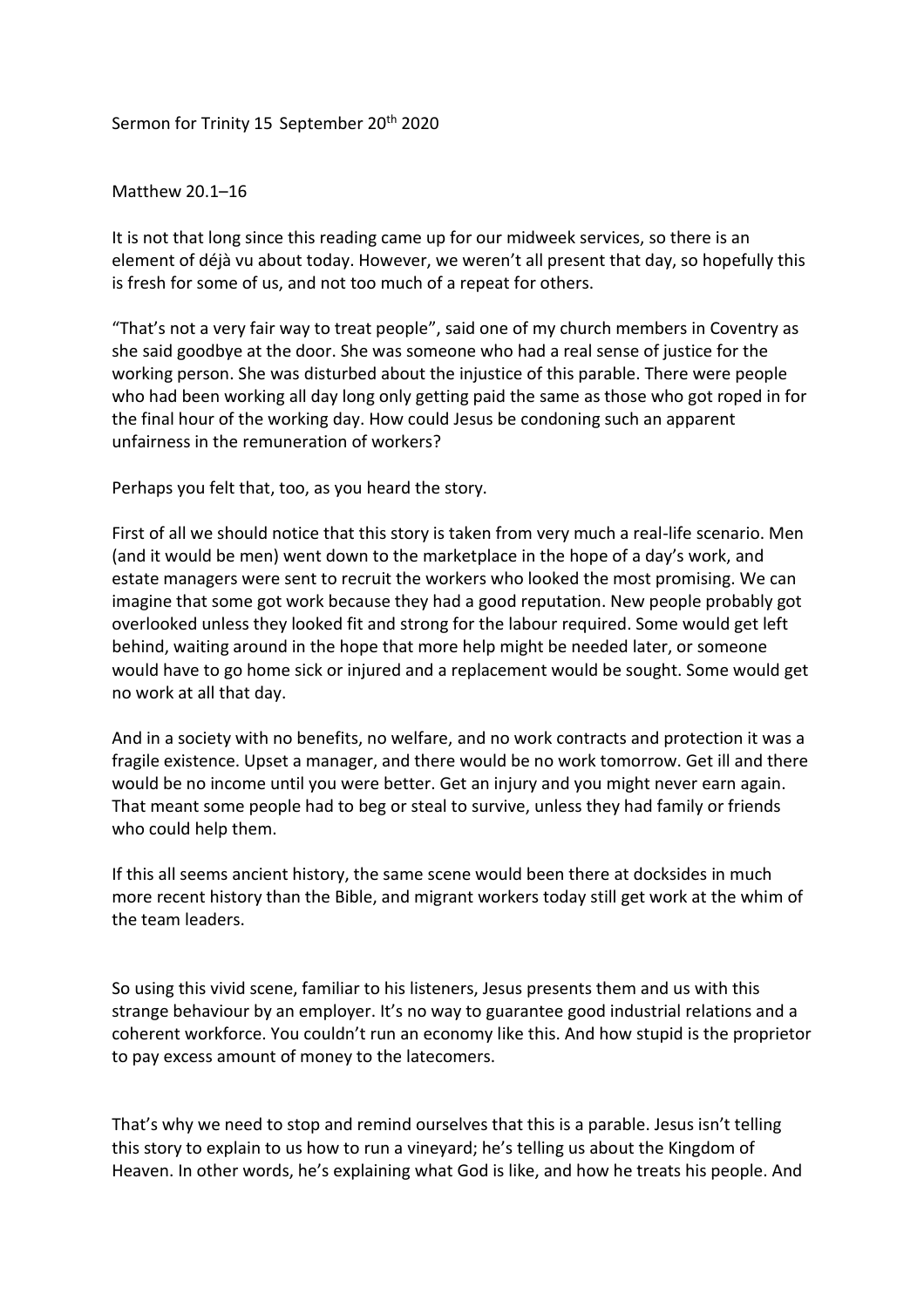## Sermon for Trinity 15 September 20<sup>th</sup> 2020

## Matthew 20.1–16

It is not that long since this reading came up for our midweek services, so there is an element of déjà vu about today. However, we weren't all present that day, so hopefully this is fresh for some of us, and not too much of a repeat for others.

"That's not a very fair way to treat people", said one of my church members in Coventry as she said goodbye at the door. She was someone who had a real sense of justice for the working person. She was disturbed about the injustice of this parable. There were people who had been working all day long only getting paid the same as those who got roped in for the final hour of the working day. How could Jesus be condoning such an apparent unfairness in the remuneration of workers?

Perhaps you felt that, too, as you heard the story.

First of all we should notice that this story is taken from very much a real-life scenario. Men (and it would be men) went down to the marketplace in the hope of a day's work, and estate managers were sent to recruit the workers who looked the most promising. We can imagine that some got work because they had a good reputation. New people probably got overlooked unless they looked fit and strong for the labour required. Some would get left behind, waiting around in the hope that more help might be needed later, or someone would have to go home sick or injured and a replacement would be sought. Some would get no work at all that day.

And in a society with no benefits, no welfare, and no work contracts and protection it was a fragile existence. Upset a manager, and there would be no work tomorrow. Get ill and there would be no income until you were better. Get an injury and you might never earn again. That meant some people had to beg or steal to survive, unless they had family or friends who could help them.

If this all seems ancient history, the same scene would been there at docksides in much more recent history than the Bible, and migrant workers today still get work at the whim of the team leaders.

So using this vivid scene, familiar to his listeners, Jesus presents them and us with this strange behaviour by an employer. It's no way to guarantee good industrial relations and a coherent workforce. You couldn't run an economy like this. And how stupid is the proprietor to pay excess amount of money to the latecomers.

That's why we need to stop and remind ourselves that this is a parable. Jesus isn't telling this story to explain to us how to run a vineyard; he's telling us about the Kingdom of Heaven. In other words, he's explaining what God is like, and how he treats his people. And